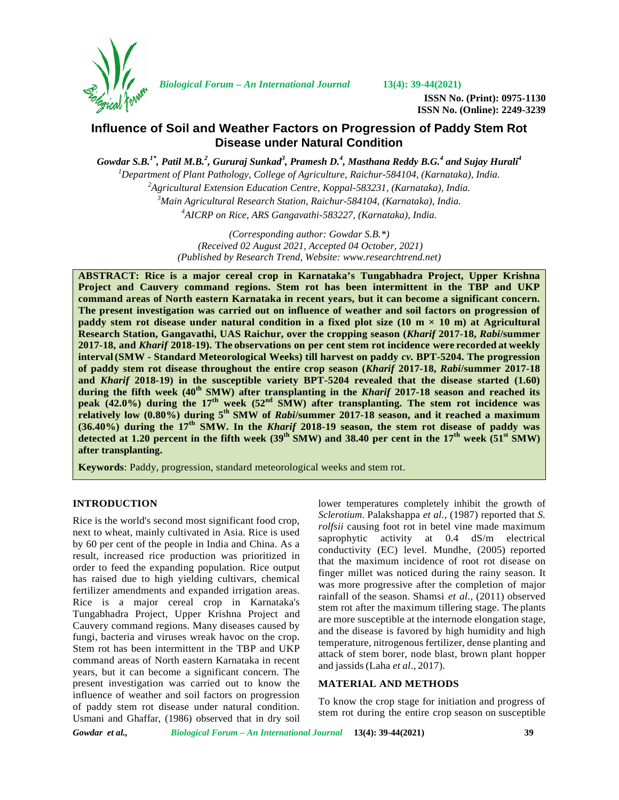

*Biological Forum – An International Journal* **13(4): 39-44(2021)**

**ISSN No. (Print): 0975-1130 ISSN No. (Online): 2249-3239**

# **Influence of Soil and Weather Factors on Progression of Paddy Stem Rot Disease under Natural Condition**

*Gowdar S.B.1\*, Patil M.B.<sup>2</sup> , Gururaj Sunkad<sup>3</sup> , Pramesh D.<sup>4</sup> , Masthana Reddy B.G.<sup>4</sup> and Sujay Hurali<sup>4</sup> Department of Plant Pathology, College of Agriculture, Raichur-584104, (Karnataka), India. Agricultural Extension Education Centre, Koppal-583231, (Karnataka), India. Main Agricultural Research Station, Raichur-584104, (Karnataka), India. AICRP on Rice, ARS Gangavathi-583227, (Karnataka), India.*

> *(Corresponding author: Gowdar S.B.\*) (Received 02 August 2021, Accepted 04 October, 2021) (Published by Research Trend, Website: [www.researchtrend.net\)](www.researchtrend.net)*

**ABSTRACT: Rice is a major cereal crop in Karnataka's Tungabhadra Project, Upper Krishna Project and Cauvery command regions. Stem rot has been intermittent in the TBP and UKP command areas of North eastern Karnataka in recent years, but it can become a significant concern. The present investigation was carried out on influence of weather and soil factors on progression of paddy stem rot disease under natural condition in a fixed plot size (10 m × 10 m) at Agricultural Research Station, Gangavathi, UAS Raichur, over the cropping season (***Kharif* **2017-18,** *Rabi***/summer 2017-18, and** *Kharif* **2018-19). The observations on per cent stem rot incidence were recorded at weekly interval(SMW - Standard Meteorological Weeks) till harvest on paddy** *cv.* **BPT-5204. The progression of paddy stem rot disease throughout the entire crop season (***Kharif* **2017-18,** *Rabi***/summer 2017-18 and** *Kharif* **2018-19) in the susceptible variety BPT-5204 revealed that the disease started (1.60) during the fifth week (40th SMW) after transplanting in the** *Kharif* **2017-18 season and reached its peak (42.0%) during the 17th week (52nd SMW) after transplanting. The stem rot incidence was relatively low (0.80%) during 5 th SMW of** *Rabi***/summer 2017-18 season, and it reached a maximum (36.40%) during the 17th SMW. In the** *Kharif* **2018-19 season, the stem rot disease of paddy was detected at 1.20 percent in the fifth week**  $(39^{th} SMW)$  **and 38.40 per cent in the**  $17^{th}$  **week**  $(51^{st} SMW)$ **after transplanting.**

**Keywords**: Paddy, progression, standard meteorological weeks and stem rot.

### **INTRODUCTION**

Rice is the world's second most significant food crop, next to wheat, mainly cultivated in Asia. Rice is used by 60 per cent of the people in India and China. As a result, increased rice production was prioritized in order to feed the expanding population. Rice output has raised due to high yielding cultivars, chemical fertilizer amendments and expanded irrigation areas. Rice is a major cereal crop in Karnataka's Tungabhadra Project, Upper Krishna Project and Cauvery command regions. Many diseases caused by fungi, bacteria and viruses wreak havoc on the crop. Stem rot has been intermittent in the TBP and UKP command areas of North eastern Karnataka in recent years, but it can become a significant concern. The present investigation was carried out to know the influence of weather and soil factors on progression of paddy stem rot disease under natural condition. Usmani and Ghaffar, (1986) observed that in dry soil

lower temperatures completely inhibit the growth of *Sclerotium*. Palakshappa *et al.,* (1987) reported that *S. rolfsii* causing foot rot in betel vine made maximum saprophytic activity at 0.4 dS/m electrical conductivity (EC) level. Mundhe, (2005) reported that the maximum incidence of root rot disease on finger millet was noticed during the rainy season. It was more progressive after the completion of major rainfall of the season. Shamsi *et al.,* (2011) observed stem rot after the maximum tillering stage. The plants are more susceptible at the internode elongation stage, and the disease is favored by high humidity and high temperature, nitrogenous fertilizer, dense planting and attack of stem borer, node blast, brown plant hopper and jassids(Laha *et al*., 2017).

### **MATERIAL AND METHODS**

To know the crop stage for initiation and progress of stem rot during the entire crop season on susceptible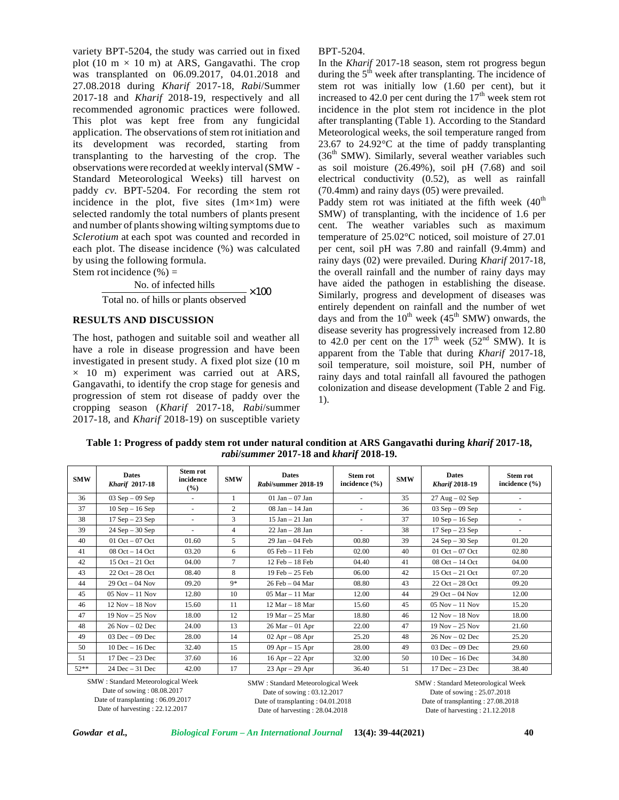variety BPT-5204, the study was carried out in fixed plot (10 m  $\times$  10 m) at ARS, Gangavathi. The crop was transplanted on 06.09.2017, 04.01.2018 and 27.08.2018 during *Kharif* 2017-18, *Rabi*/Summer 2017-18 and *Kharif* 2018-19, respectively and all recommended agronomic practices were followed. This plot was kept free from any fungicidal application. The observations of stem rot initiation and its development was recorded, starting from transplanting to the harvesting of the crop. The observations were recorded at weekly interval(SMW - Standard Meteorological Weeks) till harvest on paddy *cv.*BPT-5204. For recording the stem rot incidence in the plot, five sites  $(1m \times 1m)$  were selected randomly the total numbers of plants present and number of plants showing wilting symptoms due to *Sclerotium* at each spot was counted and recorded in each plot. The disease incidence (%) was calculated by using the following formula. Stem rot incidence  $(\% )$  =

> No. of infected hills  $\times 100$ Total no. of hills or plants observed

### **RESULTS AND DISCUSSION**

The host, pathogen and suitable soil and weather all have a role in disease progression and have been investigated in present study. A fixed plot size (10 m  $\times$  10 m) experiment was carried out at ARS, Gangavathi, to identify the crop stage for genesis and progression of stem rot disease of paddy over the cropping season (*Kharif* 2017-18, *Rabi*/summer 2017-18, and *Kharif* 2018-19) on susceptible variety

#### BPT-5204.

In the *Kharif* 2017-18 season, stem rot progress begun during the  $5<sup>th</sup>$  week after transplanting. The incidence of stem rot was initially low (1.60 per cent), but it increased to 42.0 per cent during the  $17<sup>th</sup>$  week stem rot incidence in the plot stem rot incidence in the plot after transplanting (Table 1). According to the Standard Meteorological weeks, the soil temperature ranged from 23.67 to 24.92°C at the time of paddy transplanting  $(36<sup>th</sup> SMW)$ . Similarly, several weather variables such as soil moisture (26.49%), soil pH (7.68) and soil electrical conductivity (0.52), as well as rainfall (70.4mm) and rainy days (05) were prevailed.

 $\times 100$  Similarly, progress and development of diseases was Paddy stem rot was initiated at the fifth week  $(40<sup>th</sup>$ SMW) of transplanting, with the incidence of 1.6 per cent. The weather variables such as maximum temperature of 25.02°C noticed, soil moisture of 27.01 per cent, soil pH was 7.80 and rainfall (9.4mm) and rainy days (02) were prevailed. During *Kharif* 2017-18, the overall rainfall and the number of rainy days may have aided the pathogen in establishing the disease. entirely dependent on rainfall and the number of wet days and from the  $10^{th}$  week (45<sup>th</sup> SMW) onwards, the disease severity has progressively increased from 12.80 to 42.0 per cent on the  $17<sup>th</sup>$  week (52<sup>nd</sup> SMW). It is apparent from the Table that during *Kharif* 2017-18, soil temperature, soil moisture, soil PH, number of rainy days and total rainfall all favoured the pathogen colonization and disease development (Table 2 and Fig. 1).

| <b>SMW</b> | <b>Dates</b><br><b>Kharif</b> 2017-18 | <b>Stem rot</b><br>incidence<br>$($ %) | <b>SMW</b>     | <b>Dates</b><br>Rabi/summer 2018-19 | <b>Stem rot</b><br>incidence $(\% )$ | <b>SMW</b> | <b>Dates</b><br><b>Kharif 2018-19</b> | Stem rot<br>incidence $(\% )$ |
|------------|---------------------------------------|----------------------------------------|----------------|-------------------------------------|--------------------------------------|------------|---------------------------------------|-------------------------------|
| 36         | $03$ Sep $-09$ Sep                    | ٠                                      | 1              | 01 Jan $-$ 07 Jan                   | $\sim$                               | 35         | $27 \text{ Aug} - 02 \text{ Sep}$     |                               |
| 37         | $10$ Sep $- 16$ Sep                   | $\sim$                                 | 2              | $08$ Jan $-14$ Jan                  | $\sim$                               | 36         | $03$ Sep $-09$ Sep                    | $\overline{\phantom{a}}$      |
| 38         | $17$ Sep $-23$ Sep                    | $\sim$                                 | 3              | $15$ Jan $-$ 21 Jan                 | $\sim$                               | 37         | $10$ Sep $- 16$ Sep                   | ۰                             |
| 39         | $24$ Sep $-30$ Sep                    | $\sim$                                 | $\overline{4}$ | $22$ Jan $-28$ Jan                  | ٠                                    | 38         | $17$ Sep $-23$ Sep                    | ٠                             |
| 40         | 01 Oct $-$ 07 Oct                     | 01.60                                  | 5              | $29$ Jan $-04$ Feb                  | 00.80                                | 39         | $24$ Sep $-30$ Sep                    | 01.20                         |
| 41         | $08$ Oct $-14$ Oct                    | 03.20                                  | 6              | $05$ Feb $-11$ Feb                  | 02.00                                | 40         | 01 Oct $-$ 07 Oct                     | 02.80                         |
| 42         | $15$ Oct $-21$ Oct                    | 04.00                                  | $\tau$         | $12$ Feb $-18$ Feb                  | 04.40                                | 41         | $08$ Oct $-14$ Oct                    | 04.00                         |
| 43         | $22$ Oct $-28$ Oct                    | 08.40                                  | 8              | $19 \text{ Feb} - 25 \text{ Feb}$   | 06.00                                | 42         | $15$ Oct $-21$ Oct                    | 07.20                         |
| 44         | $29$ Oct $-04$ Nov                    | 09.20                                  | $9*$           | 26 Feb - 04 Mar                     | 08.80                                | 43         | $22$ Oct $-28$ Oct                    | 09.20                         |
| 45         | $05$ Nov $-11$ Nov                    | 12.80                                  | 10             | $05$ Mar $-11$ Mar                  | 12.00                                | 44         | $29$ Oct $-$ 04 Nov                   | 12.00                         |
| 46         | $12$ Nov $-18$ Nov                    | 15.60                                  | 11             | $12$ Mar $-$ 18 Mar                 | 15.60                                | 45         | $05$ Nov $-11$ Nov                    | 15.20                         |
| 47         | $19$ Nov $-25$ Nov                    | 18.00                                  | 12             | 19 Mar – 25 Mar                     | 18.80                                | 46         | $12$ Nov $-18$ Nov                    | 18.00                         |
| 48         | $26$ Nov $-02$ Dec                    | 24.00                                  | 13             | $26$ Mar $-01$ Apr                  | 22.00                                | 47         | $19$ Nov $-25$ Nov                    | 21.60                         |
| 49         | $03$ Dec $-09$ Dec                    | 28.00                                  | 14             | $02$ Apr $-08$ Apr                  | 25.20                                | 48         | $26$ Nov $-02$ Dec                    | 25.20                         |
| 50         | $10$ Dec $- 16$ Dec                   | 32.40                                  | 15             | $09$ Apr $-15$ Apr                  | 28.00                                | 49         | $03$ Dec $-09$ Dec                    | 29.60                         |
| 51         | $17$ Dec $-23$ Dec                    | 37.60                                  | 16             | $16$ Apr $-$ 22 Apr                 | 32.00                                | 50         | $10$ Dec $- 16$ Dec                   | 34.80                         |
| $52**$     | $24$ Dec $-31$ Dec                    | 42.00                                  | 17             | $23$ Apr $- 29$ Apr                 | 36.40                                | 51         | $17$ Dec $-23$ Dec                    | 38.40                         |

**Table 1: Progress of paddy stem rot under natural condition at ARS Gangavathi during** *kharif* **2017-18,** *rabi***/***summer* **2017-18 and** *kharif* **2018-19.**

SMW : Standard Meteorological Week Date of sowing : 08.08.2017 Date of transplanting : 06.09.2017 Date of harvesting : 22.12.2017

SMW : Standard Meteorological Week Date of sowing : 03.12.2017 Date of transplanting : 04.01.2018 Date of harvesting : 28.04.2018

SMW : Standard Meteorological Week Date of sowing : 25.07.2018 Date of transplanting : 27.08.2018 Date of harvesting : 21.12.2018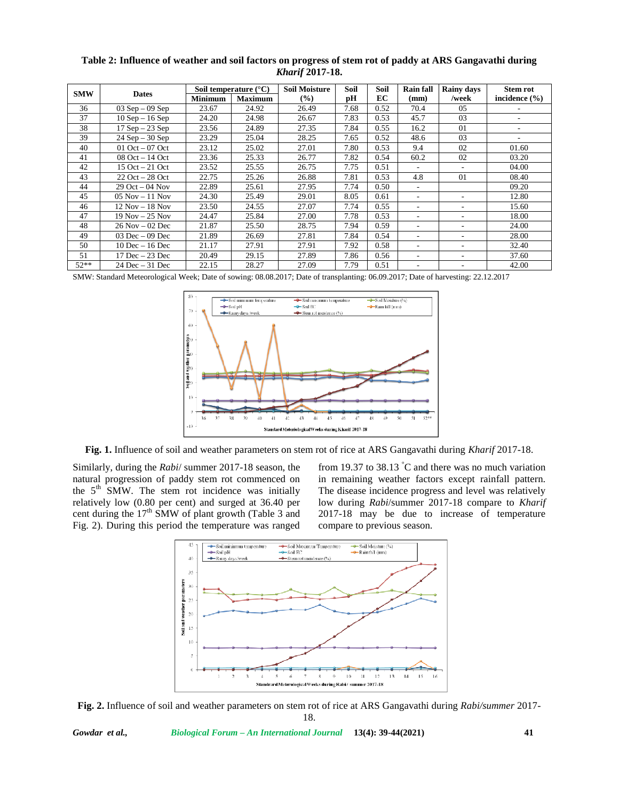| Table 2: Influence of weather and soil factors on progress of stem rot of paddy at ARS Gangavathi during |  |
|----------------------------------------------------------------------------------------------------------|--|
| <b>Kharif 2017-18.</b>                                                                                   |  |

| <b>SMW</b> | <b>Dates</b>        | Soil temperature $(^{\circ}C)$ |                | <b>Soil Moisture</b> | Soil | Soil | <b>Rain fall</b>             | <b>Rainy days</b> | <b>Stem rot</b>   |
|------------|---------------------|--------------------------------|----------------|----------------------|------|------|------------------------------|-------------------|-------------------|
|            |                     | <b>Minimum</b>                 | <b>Maximum</b> | $($ %)               | рH   | EC   | (mm)                         | /week             | incidence $(\% )$ |
| 36         | $03$ Sep $-09$ Sep  | 23.67                          | 24.92          | 26.49                | 7.68 | 0.52 | 70.4                         | 05                |                   |
| 37         | $10$ Sep $- 16$ Sep | 24.20                          | 24.98          | 26.67                | 7.83 | 0.53 | 45.7                         | 03                | ٠                 |
| 38         | $17$ Sep $-23$ Sep  | 23.56                          | 24.89          | 27.35                | 7.84 | 0.55 | 16.2                         | 01                | ٠                 |
| 39         | $24$ Sep $-30$ Sep  | 23.29                          | 25.04          | 28.25                | 7.65 | 0.52 | 48.6                         | 03                |                   |
| 40         | 01 Oct $-$ 07 Oct   | 23.12                          | 25.02          | 27.01                | 7.80 | 0.53 | 9.4                          | 02                | 01.60             |
| 41         | $08$ Oct $-14$ Oct  | 23.36                          | 25.33          | 26.77                | 7.82 | 0.54 | 60.2                         | 02                | 03.20             |
| 42         | $15$ Oct $-21$ Oct  | 23.52                          | 25.55          | 26.75                | 7.75 | 0.51 |                              |                   | 04.00             |
| 43         | $22$ Oct $-28$ Oct  | 22.75                          | 25.26          | 26.88                | 7.81 | 0.53 | 4.8                          | 01                | 08.40             |
| 44         | $29$ Oct $-04$ Nov  | 22.89                          | 25.61          | 27.95                | 7.74 | 0.50 | $\qquad \qquad \blacksquare$ |                   | 09.20             |
| 45         | $05$ Nov $-11$ Nov  | 24.30                          | 25.49          | 29.01                | 8.05 | 0.61 | ۰                            |                   | 12.80             |
| 46         | $12$ Nov $-18$ Nov  | 23.50                          | 24.55          | 27.07                | 7.74 | 0.55 |                              |                   | 15.60             |
| 47         | $19$ Nov $-25$ Nov  | 24.47                          | 25.84          | 27.00                | 7.78 | 0.53 |                              |                   | 18.00             |
| 48         | $26$ Nov $-02$ Dec  | 21.87                          | 25.50          | 28.75                | 7.94 | 0.59 |                              |                   | 24.00             |
| 49         | $03$ Dec $-09$ Dec  | 21.89                          | 26.69          | 27.81                | 7.84 | 0.54 |                              | ٠                 | 28.00             |
| 50         | $10$ Dec $- 16$ Dec | 21.17                          | 27.91          | 27.91                | 7.92 | 0.58 |                              | ۰                 | 32.40             |
| 51         | $17$ Dec $-23$ Dec  | 20.49                          | 29.15          | 27.89                | 7.86 | 0.56 | ۰                            | ۰                 | 37.60             |
| $52**$     | $24$ Dec $-31$ Dec  | 22.15                          | 28.27          | 27.09                | 7.79 | 0.51 |                              |                   | 42.00             |

SMW: Standard Meteorological Week; Date of sowing: 08.08.2017; Date of transplanting: 06.09.2017; Date of harvesting: 22.12.2017



**Fig. 1.** Influence of soil and weather parameters on stem rot of rice at ARS Gangavathi during *Kharif* 2017-18.

Similarly, during the *Rabi*/ summer 2017-18 season, the natural progression of paddy stem rot commenced on the  $5<sup>th</sup>$  SMW. The stem rot incidence was initially relatively low (0.80 per cent) and surged at 36.40 per cent during the  $17<sup>th</sup>$  SMW of plant growth (Table 3 and Fig. 2). During this period the temperature was ranged from 19.37 to  $38.13$  °C and there was no much variation in remaining weather factors except rainfall pattern. The disease incidence progress and level was relatively low during *Rabi*/summer 2017-18 compare to *Kharif* 2017-18 may be due to increase of temperature compare to previous season.



**Fig. 2.** Influence of soil and weather parameters on stem rot of rice at ARS Gangavathi during *Rabi/summer* 2017- 18.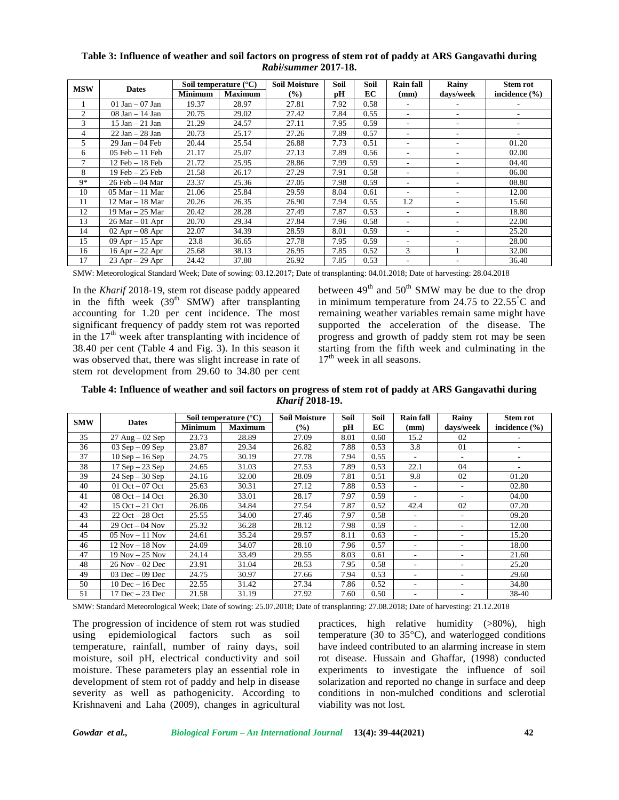| <b>MSW</b> | <b>Dates</b>       | Soil temperature $(^{\circ}C)$ |                | <b>Soil Moisture</b> | Soil | Soil | <b>Rain fall</b> | Rainy     | <b>Stem rot</b>   |
|------------|--------------------|--------------------------------|----------------|----------------------|------|------|------------------|-----------|-------------------|
|            |                    | <b>Minimum</b>                 | <b>Maximum</b> | $\frac{9}{6}$        | рH   | EC   | (mm)             | days/week | incidence $(\% )$ |
|            | $01$ Jan $-07$ Jan | 19.37                          | 28.97          | 27.81                | 7.92 | 0.58 |                  |           |                   |
| 2          | $08$ Jan $-14$ Jan | 20.75                          | 29.02          | 27.42                | 7.84 | 0.55 | ٠                |           |                   |
| 3          | 15 Jan – 21 Jan    | 21.29                          | 24.57          | 27.11                | 7.95 | 0.59 | ٠                | ۰         | ۰                 |
| 4          | $22$ Jan $-28$ Jan | 20.73                          | 25.17          | 27.26                | 7.89 | 0.57 | ٠                | ۰         | ٠                 |
| 5          | $29$ Jan $-04$ Feb | 20.44                          | 25.54          | 26.88                | 7.73 | 0.51 | ۰                | ۰         | 01.20             |
| 6          | $05$ Feb $-11$ Feb | 21.17                          | 25.07          | 27.13                | 7.89 | 0.56 | ۰                | ۰         | 02.00             |
| 7          | $12$ Feb $-18$ Feb | 21.72                          | 25.95          | 28.86                | 7.99 | 0.59 | ۰                | ۰         | 04.40             |
| 8          | 19 Feb - 25 Feb    | 21.58                          | 26.17          | 27.29                | 7.91 | 0.58 | ۰                | ۰         | 06.00             |
| 9*         | 26 Feb - 04 Mar    | 23.37                          | 25.36          | 27.05                | 7.98 | 0.59 | ۰                | ۰         | 08.80             |
| 10         | $05$ Mar $-11$ Mar | 21.06                          | 25.84          | 29.59                | 8.04 | 0.61 |                  |           | 12.00             |
| 11         | 12 Mar – 18 Mar    | 20.26                          | 26.35          | 26.90                | 7.94 | 0.55 | 1.2              |           | 15.60             |
| 12         | 19 Mar – 25 Mar    | 20.42                          | 28.28          | 27.49                | 7.87 | 0.53 | ٠                | ۰         | 18.80             |
| 13         | $26$ Mar $-01$ Apr | 20.70                          | 29.34          | 27.84                | 7.96 | 0.58 | ۰                | ۰         | 22.00             |
| 14         | $02$ Apr $-08$ Apr | 22.07                          | 34.39          | 28.59                | 8.01 | 0.59 | ۰                | ۰         | 25.20             |
| 15         | $09$ Apr $-15$ Apr | 23.8                           | 36.65          | 27.78                | 7.95 | 0.59 | ۰                |           | 28.00             |
| 16         | $16$ Apr $-22$ Apr | 25.68                          | 38.13          | 26.95                | 7.85 | 0.52 | 3                |           | 32.00             |
| 17         | $23$ Apr $-29$ Apr | 24.42                          | 37.80          | 26.92                | 7.85 | 0.53 |                  |           | 36.40             |

## **Table 3: Influence of weather and soil factors on progress of stem rot of paddy at ARS Gangavathi during** *Rabi***/***summer* **2017-18.**

SMW: Meteorological Standard Week; Date of sowing: 03.12.2017; Date of transplanting: 04.01.2018; Date of harvesting: 28.04.2018

In the *Kharif* 2018-19, stem rot disease paddy appeared in the fifth week  $(39<sup>th</sup> SMW)$  after transplanting accounting for 1.20 per cent incidence. The most significant frequency of paddy stem rot was reported in the  $17<sup>th</sup>$  week after transplanting with incidence of 38.40 per cent (Table 4 and Fig. 3). In this season it was observed that, there was slight increase in rate of stem rot development from 29.60 to 34.80 per cent

between  $49<sup>th</sup>$  and  $50<sup>th</sup>$  SMW may be due to the drop in minimum temperature from 24.75 to 22.55°C and remaining weather variables remain same might have supported the acceleration of the disease. The progress and growth of paddy stem rot may be seen starting from the fifth week and culminating in the  $17<sup>th</sup>$  week in all seasons.

**Table 4: Influence of weather and soil factors on progress of stem rot of paddy at ARS Gangavathi during** *Kharif* **2018-19.**

| <b>SMW</b> | <b>Dates</b>                      | Soil temperature $(^{\circ}C)$ |                | <b>Soil Moisture</b> | Soil | Soil | <b>Rain fall</b>         | Rainy                    | <b>Stem rot</b>   |
|------------|-----------------------------------|--------------------------------|----------------|----------------------|------|------|--------------------------|--------------------------|-------------------|
|            |                                   | Minimum                        | <b>Maximum</b> | $\frac{9}{6}$        | рH   | EC   | (mm)                     | days/week                | incidence $(\% )$ |
| 35         | $27 \text{ Aug} - 02 \text{ Sep}$ | 23.73                          | 28.89          | 27.09                | 8.01 | 0.60 | 15.2                     | 02                       | ۰                 |
| 36         | $03$ Sep $-09$ Sep                | 23.87                          | 29.34          | 26.82                | 7.88 | 0.53 | 3.8                      | 01                       |                   |
| 37         | $10$ Sep $- 16$ Sep               | 24.75                          | 30.19          | 27.78                | 7.94 | 0.55 | $\overline{\phantom{a}}$ | $\overline{a}$           | ۰                 |
| 38         | $17$ Sep $-23$ Sep                | 24.65                          | 31.03          | 27.53                | 7.89 | 0.53 | 22.1                     | 04                       |                   |
| 39         | $24$ Sep $-30$ Sep                | 24.16                          | 32.00          | 28.09                | 7.81 | 0.51 | 9.8                      | 02                       | 01.20             |
| 40         | $01$ Oct $-07$ Oct                | 25.63                          | 30.31          | 27.12                | 7.88 | 0.53 | ۰                        | $\overline{\phantom{a}}$ | 02.80             |
| 41         | $08$ Oct $-14$ Oct                | 26.30                          | 33.01          | 28.17                | 7.97 | 0.59 |                          |                          | 04.00             |
| 42         | $15$ Oct $-21$ Oct                | 26.06                          | 34.84          | 27.54                | 7.87 | 0.52 | 42.4                     | 02                       | 07.20             |
| 43         | $22$ Oct $-28$ Oct                | 25.55                          | 34.00          | 27.46                | 7.97 | 0.58 | ٠                        | $\overline{\phantom{a}}$ | 09.20             |
| 44         | $29$ Oct $-04$ Nov                | 25.32                          | 36.28          | 28.12                | 7.98 | 0.59 | ۰                        | ٠                        | 12.00             |
| 45         | $05$ Nov $-11$ Nov                | 24.61                          | 35.24          | 29.57                | 8.11 | 0.63 | ۰                        | ٠                        | 15.20             |
| 46         | $12$ Nov $-18$ Nov                | 24.09                          | 34.07          | 28.10                | 7.96 | 0.57 | ٠                        | $\overline{\phantom{a}}$ | 18.00             |
| 47         | $19$ Nov $-25$ Nov                | 24.14                          | 33.49          | 29.55                | 8.03 | 0.61 |                          |                          | 21.60             |
| 48         | $26$ Nov $-02$ Dec                | 23.91                          | 31.04          | 28.53                | 7.95 | 0.58 | ۰                        | $\overline{\phantom{a}}$ | 25.20             |
| 49         | $03$ Dec $-09$ Dec                | 24.75                          | 30.97          | 27.66                | 7.94 | 0.53 | ۰                        |                          | 29.60             |
| 50         | 10 Dec – 16 Dec                   | 22.55                          | 31.42          | 27.34                | 7.86 | 0.52 | ۰                        | ۰                        | 34.80             |
| 51         | 17 Dec – 23 Dec                   | 21.58                          | 31.19          | 27.92                | 7.60 | 0.50 | ۰                        | $\overline{\phantom{a}}$ | 38-40             |

SMW: Standard Meteorological Week; Date of sowing: 25.07.2018; Date of transplanting: 27.08.2018; Date of harvesting: 21.12.2018

The progression of incidence of stem rot was studied using epidemiological factors such as soil temperature, rainfall, number of rainy days, soil moisture, soil pH, electrical conductivity and soil moisture. These parameters play an essential role in development of stem rot of paddy and help in disease severity as well as pathogenicity. According to Krishnaveni and Laha (2009), changes in agricultural

practices, high relative humidity (>80%), high temperature (30 to 35°C), and waterlogged conditions have indeed contributed to an alarming increase in stem rot disease. Hussain and Ghaffar, (1998) conducted experiments to investigate the influence of soil solarization and reported no change in surface and deep conditions in non-mulched conditions and sclerotial viability was not lost.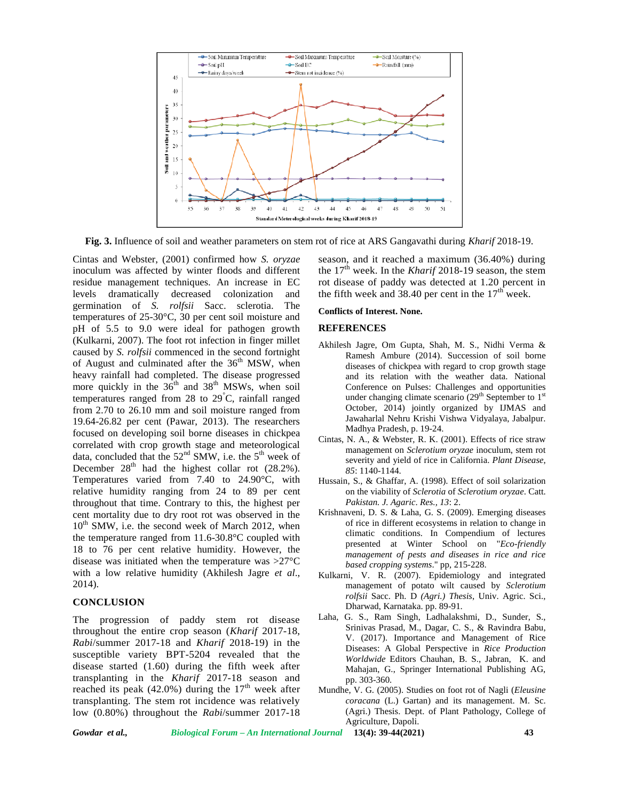

**Fig. 3.** Influence of soil and weather parameters on stem rot of rice at ARS Gangavathi during *Kharif* 2018-19.

Cintas and Webster, (2001) confirmed how *S. oryzae* inoculum was affected by winter floods and different residue management techniques. An increase in EC levels dramatically decreased colonization and germination of *S. rolfsii* Sacc. sclerotia. The temperatures of 25-30°C, 30 per cent soil moisture and pH of 5.5 to 9.0 were ideal for pathogen growth (Kulkarni, 2007). The foot rot infection in finger millet caused by *S. rolfsii* commenced in the second fortnight of August and culminated after the  $36<sup>th</sup>$  MSW, when heavy rainfall had completed. The disease progressed more quickly in the  $36<sup>th</sup>$  and  $38<sup>th</sup>$  MSWs, when soil temperatures ranged from 28 to  $29^{\circ}$ C, rainfall ranged from 2.70 to 26.10 mm and soil moisture ranged from 19.64-26.82 per cent (Pawar, 2013). The researchers focused on developing soil borne diseases in chickpea correlated with crop growth stage and meteorological data, concluded that the  $52<sup>nd</sup>$  SMW, i.e. the  $5<sup>th</sup>$  week of December  $28<sup>th</sup>$  had the highest collar rot (28.2%). Temperatures varied from 7.40 to 24.90°C, with relative humidity ranging from 24 to 89 per cent throughout that time. Contrary to this, the highest per cent mortality due to dry root rot was observed in the  $10<sup>th</sup>$  SMW, i.e. the second week of March 2012, when the temperature ranged from 11.6-30.8°C coupled with 18 to 76 per cent relative humidity. However, the disease was initiated when the temperature was >27°C with a low relative humidity (Akhilesh Jagre *et al*., 2014).

### **CONCLUSION**

The progression of paddy stem rot disease throughout the entire crop season (*Kharif* 2017-18, *Rabi*/summer 2017-18 and *Kharif* 2018-19) in the susceptible variety BPT-5204 revealed that the disease started (1.60) during the fifth week after transplanting in the *Kharif* 2017-18 season and reached its peak (42.0%) during the  $17<sup>th</sup>$  week after transplanting. The stem rot incidence was relatively low (0.80%) throughout the *Rabi*/summer 2017-18 season, and it reached a maximum (36.40%) during the  $17<sup>th</sup>$  week. In the *Kharif* 2018-19 season, the stem rot disease of paddy was detected at 1.20 percent in the fifth week and 38.40 per cent in the  $17<sup>th</sup>$  week.

#### **Conflicts of Interest. None.**

#### **REFERENCES**

- Akhilesh Jagre, Om Gupta, Shah, M. S., Nidhi Verma & Ramesh Ambure (2014). Succession of soil borne diseases of chickpea with regard to crop growth stage and its relation with the weather data. National Conference on Pulses: Challenges and opportunities under changing climate scenario ( $29<sup>th</sup>$  September to  $1<sup>st</sup>$ October, 2014) jointly organized by IJMAS and Jawaharlal Nehru Krishi Vishwa Vidyalaya, Jabalpur. Madhya Pradesh, p. 19-24.
- Cintas, N. A., & Webster, R. K. (2001). Effects of rice straw management on *Sclerotium oryzae* inoculum, stem rot severity and yield of rice in California. *Plant Disease*, *85*: 1140-1144.
- Hussain, S., & Ghaffar, A. (1998). Effect of soil solarization on the viability of *Sclerotia* of *Sclerotium oryzae*. Catt. *Pakistan. J. Agaric*. *Res., 13*: 2.
- Krishnaveni, D. S. & Laha, G. S. (2009). Emerging diseases of rice in different ecosystems in relation to change in climatic conditions. In Compendium of lectures presented at Winter School on "*Eco-friendly management of pests and diseases in rice and rice based cropping systems*." pp, 215-228.
- Kulkarni, V. R. (2007). Epidemiology and integrated management of potato wilt caused by *Sclerotium rolfsii* Sacc. Ph. D *(Agri.) Thesis*, Univ. Agric. Sci., Dharwad, Karnataka. pp. 89-91.
- Laha, G. S., Ram Singh, Ladhalakshmi, D., Sunder, S., Srinivas Prasad, M., Dagar, C. S., & Ravindra Babu, V. (2017). Importance and Management of Rice Diseases: A Global Perspective in *Rice Production Worldwide* Editors Chauhan, B. S., Jabran, K. and Mahajan, G., Springer International Publishing AG, pp. 303-360.
- Mundhe, V. G. (2005). Studies on foot rot of Nagli (*Eleusine coracana* (L.) Gartan) and its management. M. Sc. (Agri.) Thesis. Dept. of Plant Pathology, College of Agriculture, Dapoli.

*Gowdar et al., Biological Forum – An International Journal* **13(4): 39-44(2021) 43**